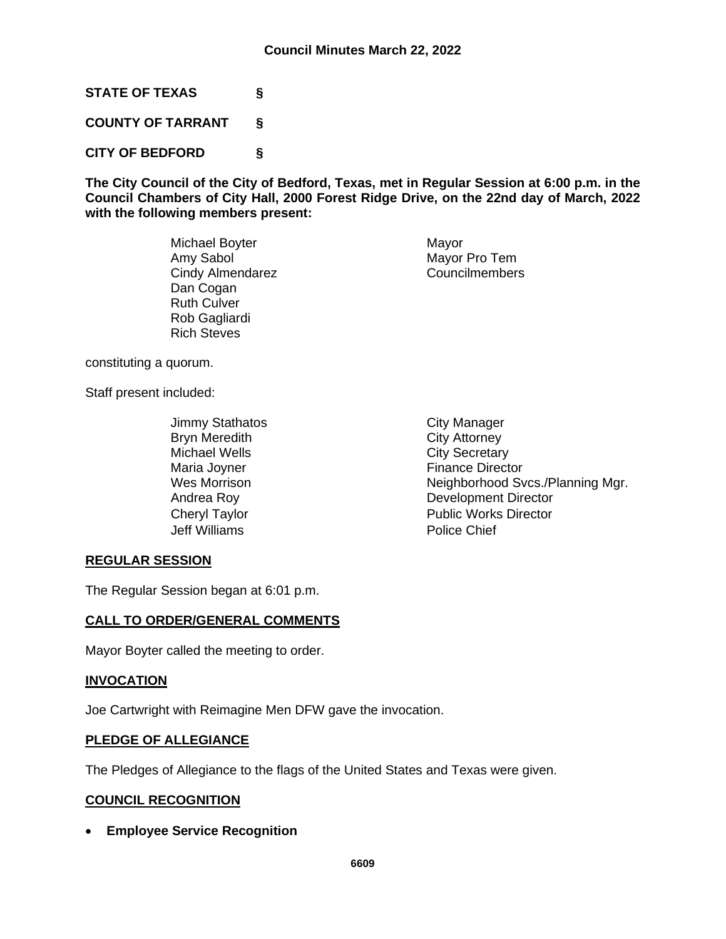**STATE OF TEXAS §**

**COUNTY OF TARRANT §**

**CITY OF BEDFORD §**

**The City Council of the City of Bedford, Texas, met in Regular Session at 6:00 p.m. in the Council Chambers of City Hall, 2000 Forest Ridge Drive, on the 22nd day of March, 2022 with the following members present:**

> Michael Boyter **Mayor** Mayor Amy Sabol Mayor Pro Tem Cindy Almendarez Councilmembers Dan Cogan Ruth Culver Rob Gagliardi Rich Steves

constituting a quorum.

Staff present included:

Jimmy Stathatos **City Manager** Bryn Meredith **City Attorney**<br>Michael Wells **City Secretary** Maria Joyner **Finance Director** Jeff Williams Police Chief

**City Secretary** Wes Morrison **Neighborhood Svcs./Planning Mgr.** Andrea Roy **Development Director** Cheryl Taylor **Public Works Director** 

## **REGULAR SESSION**

The Regular Session began at 6:01 p.m.

## **CALL TO ORDER/GENERAL COMMENTS**

Mayor Boyter called the meeting to order.

# **INVOCATION**

Joe Cartwright with Reimagine Men DFW gave the invocation.

#### **PLEDGE OF ALLEGIANCE**

The Pledges of Allegiance to the flags of the United States and Texas were given.

## **COUNCIL RECOGNITION**

• **Employee Service Recognition**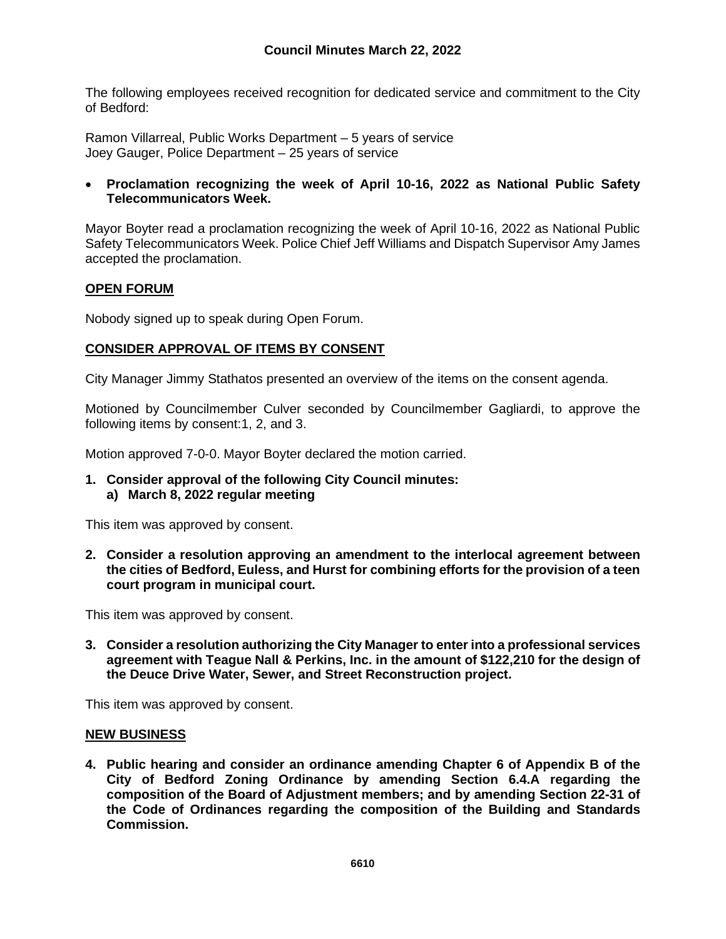The following employees received recognition for dedicated service and commitment to the City of Bedford:

Ramon Villarreal, Public Works Department – 5 years of service Joey Gauger, Police Department – 25 years of service

## • **Proclamation recognizing the week of April 10-16, 2022 as National Public Safety Telecommunicators Week.**

Mayor Boyter read a proclamation recognizing the week of April 10-16, 2022 as National Public Safety Telecommunicators Week. Police Chief Jeff Williams and Dispatch Supervisor Amy James accepted the proclamation.

### **OPEN FORUM**

Nobody signed up to speak during Open Forum.

## **CONSIDER APPROVAL OF ITEMS BY CONSENT**

City Manager Jimmy Stathatos presented an overview of the items on the consent agenda.

Motioned by Councilmember Culver seconded by Councilmember Gagliardi, to approve the following items by consent:1, 2, and 3.

Motion approved 7-0-0. Mayor Boyter declared the motion carried.

**1. Consider approval of the following City Council minutes: a) March 8, 2022 regular meeting**

This item was approved by consent.

**2. Consider a resolution approving an amendment to the interlocal agreement between the cities of Bedford, Euless, and Hurst for combining efforts for the provision of a teen court program in municipal court.**

This item was approved by consent.

**3. Consider a resolution authorizing the City Manager to enter into a professional services agreement with Teague Nall & Perkins, Inc. in the amount of \$122,210 for the design of the Deuce Drive Water, Sewer, and Street Reconstruction project.**

This item was approved by consent.

#### **NEW BUSINESS**

**4. Public hearing and consider an ordinance amending Chapter 6 of Appendix B of the City of Bedford Zoning Ordinance by amending Section 6.4.A regarding the composition of the Board of Adjustment members; and by amending Section 22-31 of the Code of Ordinances regarding the composition of the Building and Standards Commission.**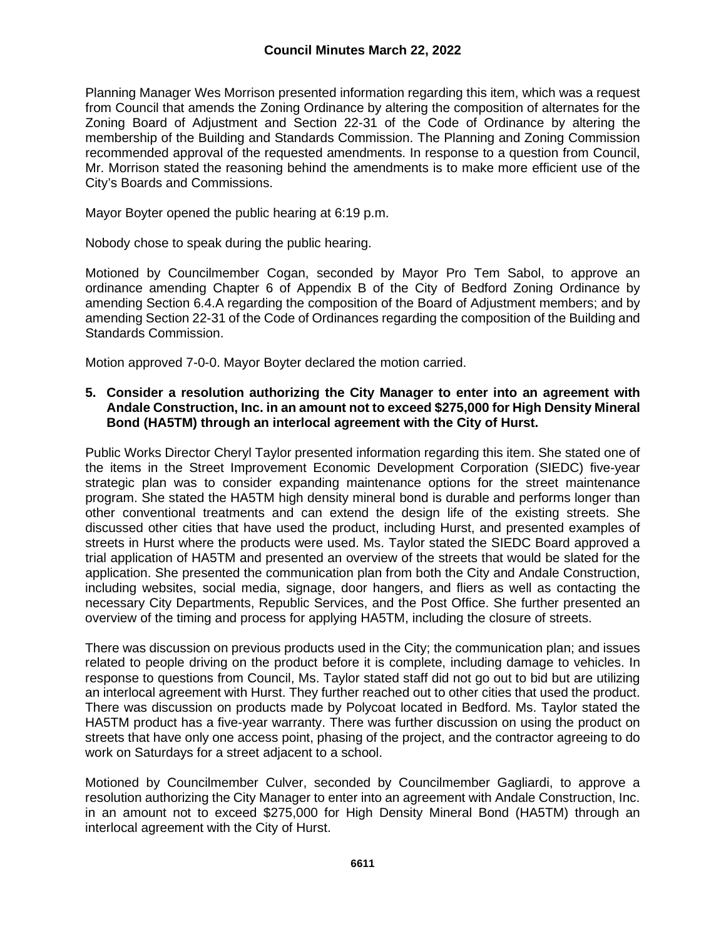Planning Manager Wes Morrison presented information regarding this item, which was a request from Council that amends the Zoning Ordinance by altering the composition of alternates for the Zoning Board of Adjustment and Section 22-31 of the Code of Ordinance by altering the membership of the Building and Standards Commission. The Planning and Zoning Commission recommended approval of the requested amendments. In response to a question from Council, Mr. Morrison stated the reasoning behind the amendments is to make more efficient use of the City's Boards and Commissions.

Mayor Boyter opened the public hearing at 6:19 p.m.

Nobody chose to speak during the public hearing.

Motioned by Councilmember Cogan, seconded by Mayor Pro Tem Sabol, to approve an ordinance amending Chapter 6 of Appendix B of the City of Bedford Zoning Ordinance by amending Section 6.4.A regarding the composition of the Board of Adjustment members; and by amending Section 22-31 of the Code of Ordinances regarding the composition of the Building and Standards Commission.

Motion approved 7-0-0. Mayor Boyter declared the motion carried.

### **5. Consider a resolution authorizing the City Manager to enter into an agreement with Andale Construction, Inc. in an amount not to exceed \$275,000 for High Density Mineral Bond (HA5TM) through an interlocal agreement with the City of Hurst.**

Public Works Director Cheryl Taylor presented information regarding this item. She stated one of the items in the Street Improvement Economic Development Corporation (SIEDC) five-year strategic plan was to consider expanding maintenance options for the street maintenance program. She stated the HA5TM high density mineral bond is durable and performs longer than other conventional treatments and can extend the design life of the existing streets. She discussed other cities that have used the product, including Hurst, and presented examples of streets in Hurst where the products were used. Ms. Taylor stated the SIEDC Board approved a trial application of HA5TM and presented an overview of the streets that would be slated for the application. She presented the communication plan from both the City and Andale Construction, including websites, social media, signage, door hangers, and fliers as well as contacting the necessary City Departments, Republic Services, and the Post Office. She further presented an overview of the timing and process for applying HA5TM, including the closure of streets.

There was discussion on previous products used in the City; the communication plan; and issues related to people driving on the product before it is complete, including damage to vehicles. In response to questions from Council, Ms. Taylor stated staff did not go out to bid but are utilizing an interlocal agreement with Hurst. They further reached out to other cities that used the product. There was discussion on products made by Polycoat located in Bedford. Ms. Taylor stated the HA5TM product has a five-year warranty. There was further discussion on using the product on streets that have only one access point, phasing of the project, and the contractor agreeing to do work on Saturdays for a street adjacent to a school.

Motioned by Councilmember Culver, seconded by Councilmember Gagliardi, to approve a resolution authorizing the City Manager to enter into an agreement with Andale Construction, Inc. in an amount not to exceed \$275,000 for High Density Mineral Bond (HA5TM) through an interlocal agreement with the City of Hurst.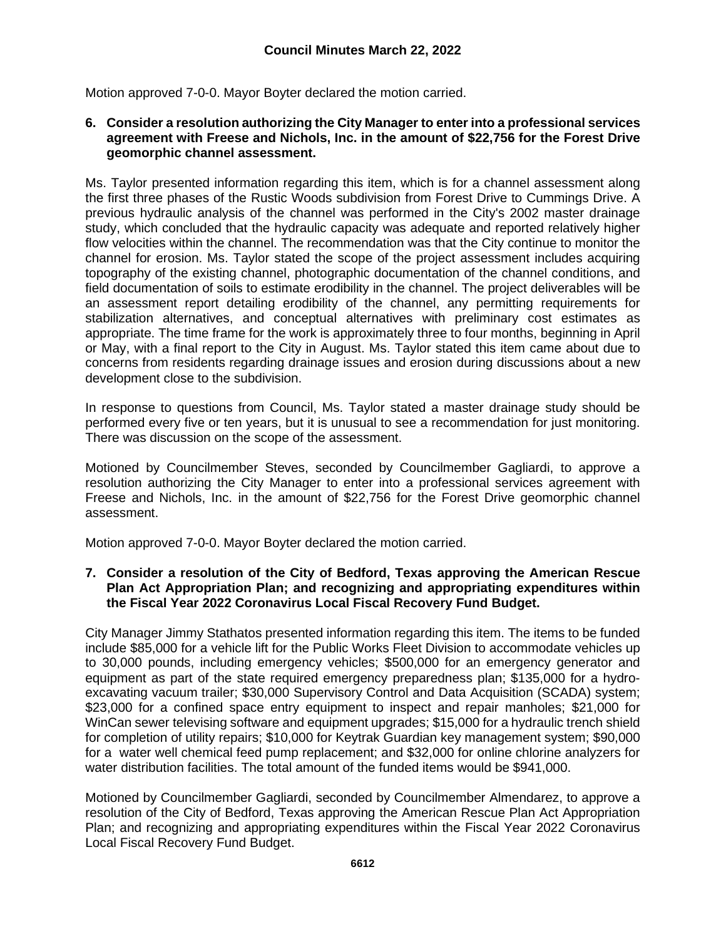Motion approved 7-0-0. Mayor Boyter declared the motion carried.

#### **6. Consider a resolution authorizing the City Manager to enter into a professional services agreement with Freese and Nichols, Inc. in the amount of \$22,756 for the Forest Drive geomorphic channel assessment.**

Ms. Taylor presented information regarding this item, which is for a channel assessment along the first three phases of the Rustic Woods subdivision from Forest Drive to Cummings Drive. A previous hydraulic analysis of the channel was performed in the City's 2002 master drainage study, which concluded that the hydraulic capacity was adequate and reported relatively higher flow velocities within the channel. The recommendation was that the City continue to monitor the channel for erosion. Ms. Taylor stated the scope of the project assessment includes acquiring topography of the existing channel, photographic documentation of the channel conditions, and field documentation of soils to estimate erodibility in the channel. The project deliverables will be an assessment report detailing erodibility of the channel, any permitting requirements for stabilization alternatives, and conceptual alternatives with preliminary cost estimates as appropriate. The time frame for the work is approximately three to four months, beginning in April or May, with a final report to the City in August. Ms. Taylor stated this item came about due to concerns from residents regarding drainage issues and erosion during discussions about a new development close to the subdivision.

In response to questions from Council, Ms. Taylor stated a master drainage study should be performed every five or ten years, but it is unusual to see a recommendation for just monitoring. There was discussion on the scope of the assessment.

Motioned by Councilmember Steves, seconded by Councilmember Gagliardi, to approve a resolution authorizing the City Manager to enter into a professional services agreement with Freese and Nichols, Inc. in the amount of \$22,756 for the Forest Drive geomorphic channel assessment.

Motion approved 7-0-0. Mayor Boyter declared the motion carried.

### **7. Consider a resolution of the City of Bedford, Texas approving the American Rescue Plan Act Appropriation Plan; and recognizing and appropriating expenditures within the Fiscal Year 2022 Coronavirus Local Fiscal Recovery Fund Budget.**

City Manager Jimmy Stathatos presented information regarding this item. The items to be funded include \$85,000 for a vehicle lift for the Public Works Fleet Division to accommodate vehicles up to 30,000 pounds, including emergency vehicles; \$500,000 for an emergency generator and equipment as part of the state required emergency preparedness plan; \$135,000 for a hydroexcavating vacuum trailer; \$30,000 Supervisory Control and Data Acquisition (SCADA) system; \$23,000 for a confined space entry equipment to inspect and repair manholes; \$21,000 for WinCan sewer televising software and equipment upgrades; \$15,000 for a hydraulic trench shield for completion of utility repairs; \$10,000 for Keytrak Guardian key management system; \$90,000 for a water well chemical feed pump replacement; and \$32,000 for online chlorine analyzers for water distribution facilities. The total amount of the funded items would be \$941,000.

Motioned by Councilmember Gagliardi, seconded by Councilmember Almendarez, to approve a resolution of the City of Bedford, Texas approving the American Rescue Plan Act Appropriation Plan; and recognizing and appropriating expenditures within the Fiscal Year 2022 Coronavirus Local Fiscal Recovery Fund Budget.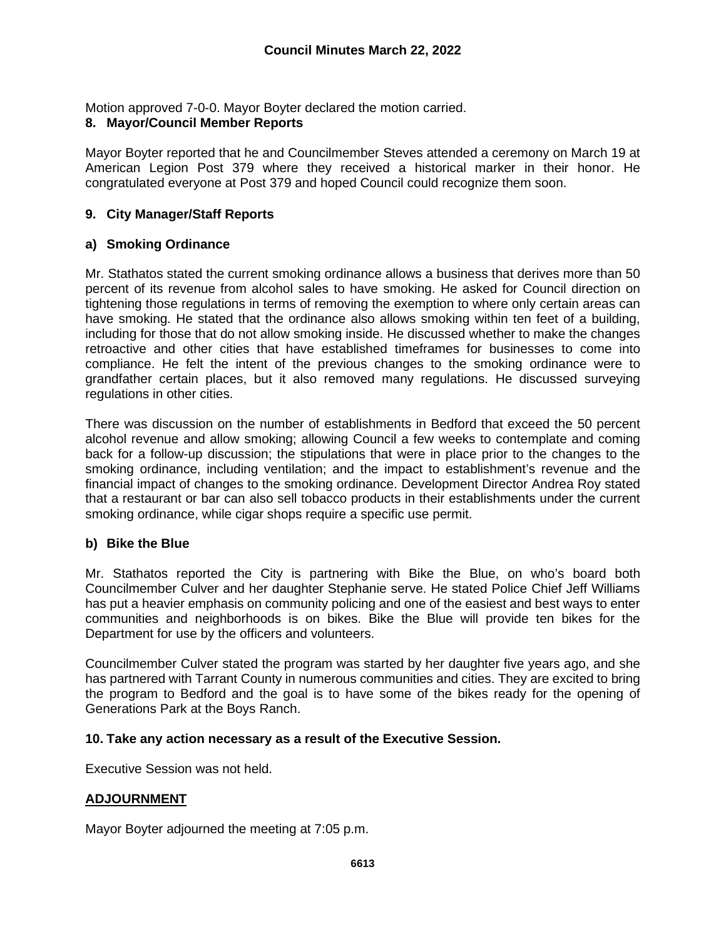Motion approved 7-0-0. Mayor Boyter declared the motion carried.

# **8. Mayor/Council Member Reports**

Mayor Boyter reported that he and Councilmember Steves attended a ceremony on March 19 at American Legion Post 379 where they received a historical marker in their honor. He congratulated everyone at Post 379 and hoped Council could recognize them soon.

# **9. City Manager/Staff Reports**

## **a) Smoking Ordinance**

Mr. Stathatos stated the current smoking ordinance allows a business that derives more than 50 percent of its revenue from alcohol sales to have smoking. He asked for Council direction on tightening those regulations in terms of removing the exemption to where only certain areas can have smoking. He stated that the ordinance also allows smoking within ten feet of a building, including for those that do not allow smoking inside. He discussed whether to make the changes retroactive and other cities that have established timeframes for businesses to come into compliance. He felt the intent of the previous changes to the smoking ordinance were to grandfather certain places, but it also removed many regulations. He discussed surveying regulations in other cities.

There was discussion on the number of establishments in Bedford that exceed the 50 percent alcohol revenue and allow smoking; allowing Council a few weeks to contemplate and coming back for a follow-up discussion; the stipulations that were in place prior to the changes to the smoking ordinance, including ventilation; and the impact to establishment's revenue and the financial impact of changes to the smoking ordinance. Development Director Andrea Roy stated that a restaurant or bar can also sell tobacco products in their establishments under the current smoking ordinance, while cigar shops require a specific use permit.

## **b) Bike the Blue**

Mr. Stathatos reported the City is partnering with Bike the Blue, on who's board both Councilmember Culver and her daughter Stephanie serve. He stated Police Chief Jeff Williams has put a heavier emphasis on community policing and one of the easiest and best ways to enter communities and neighborhoods is on bikes. Bike the Blue will provide ten bikes for the Department for use by the officers and volunteers.

Councilmember Culver stated the program was started by her daughter five years ago, and she has partnered with Tarrant County in numerous communities and cities. They are excited to bring the program to Bedford and the goal is to have some of the bikes ready for the opening of Generations Park at the Boys Ranch.

## **10. Take any action necessary as a result of the Executive Session.**

Executive Session was not held.

## **ADJOURNMENT**

Mayor Boyter adjourned the meeting at 7:05 p.m.